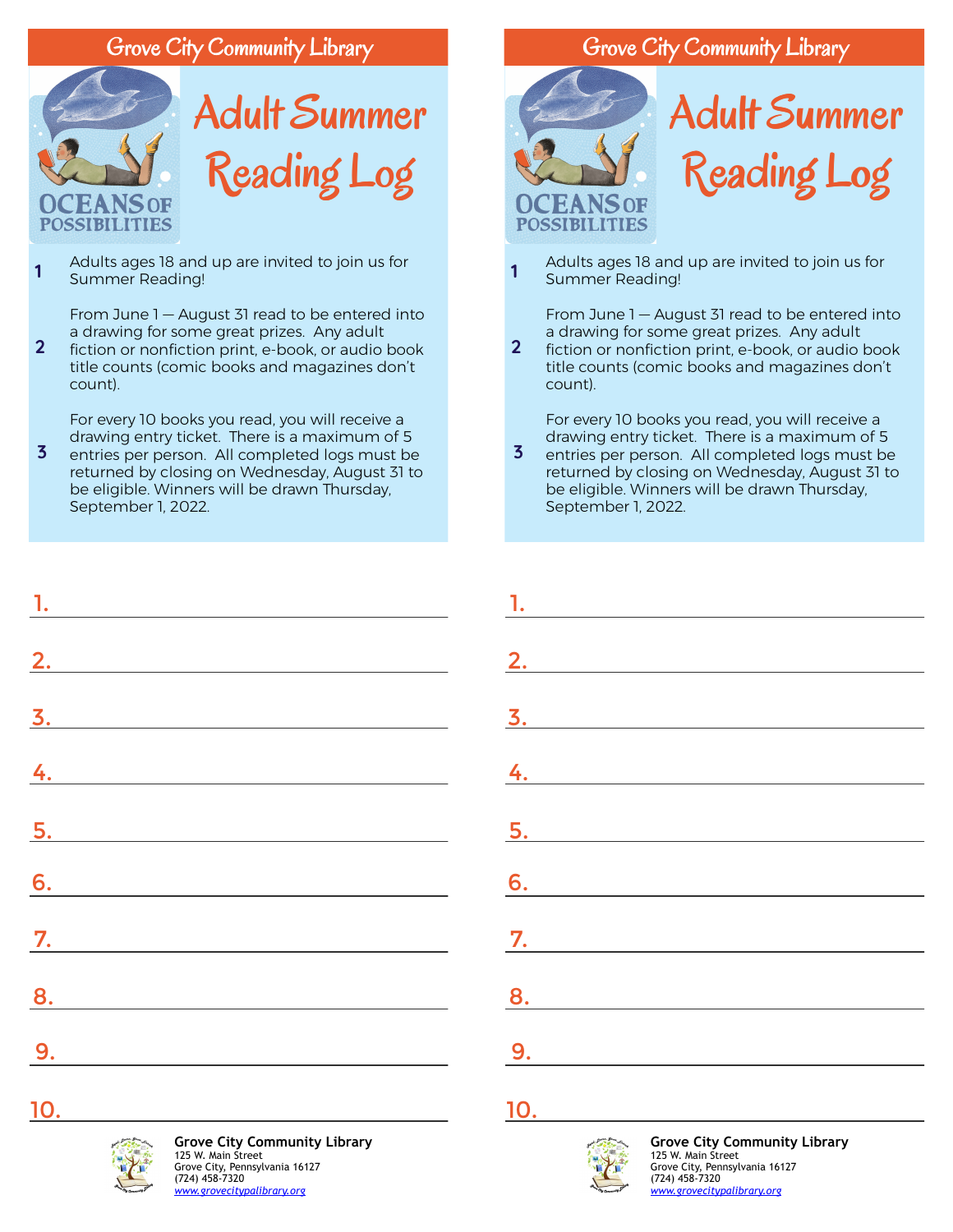## Grove City Community Library



Adults ages 18 and up are invited to join us for Summer Reading! **1**

From June 1 — August 31 read to be entered into a drawing for some great prizes. Any adult

fiction or nonfiction print, e-book, or audio book title counts (comic books and magazines don't count). **2**

For every 10 books you read, you will receive a drawing entry ticket. There is a maximum of 5

entries per person. All completed logs must be returned by closing on Wednesday, August 31 to be eligible. Winners will be drawn Thursday, September 1, 2022. **3**

| $\frac{1}{2}$ |  |  |
|---------------|--|--|
|               |  |  |
| 2.            |  |  |
|               |  |  |
|               |  |  |
| $\frac{4}{1}$ |  |  |
|               |  |  |
|               |  |  |
| 6.            |  |  |
|               |  |  |
|               |  |  |
| 8.            |  |  |
| 9.            |  |  |
|               |  |  |

## Grove City Community Library



Adults ages 18 and up are invited to join us for Summer Reading! **1**

From June 1 — August 31 read to be entered into a drawing for some great prizes. Any adult

fiction or nonfiction print, e-book, or audio book title counts (comic books and magazines don't count). **2**

For every 10 books you read, you will receive a drawing entry ticket. There is a maximum of 5

entries per person. All completed logs must be returned by closing on Wednesday, August 31 to be eligible. Winners will be drawn Thursday, September 1, 2022. **3**

| $\frac{1}{2}$    |  |  |
|------------------|--|--|
|                  |  |  |
| 2.               |  |  |
|                  |  |  |
| $\overline{3}$ . |  |  |
|                  |  |  |
| $\frac{1}{2}$    |  |  |
|                  |  |  |
| 5.               |  |  |
|                  |  |  |
| $\overline{6}$ . |  |  |
|                  |  |  |
| $\overline{7}$ . |  |  |
|                  |  |  |
| 8.               |  |  |
|                  |  |  |
| 9.               |  |  |
|                  |  |  |

## 10.



**Grove City Community Library** 125 W. Main Street Grove City, Pennsylvania 16127 (724) 458-7320 *[www.grovecitypalibrary.org](https://libraryaware.com/2J4J3G)*



10.

**Grove City Community Library** 125 W. Main Street Grove City, Pennsylvania 16127 (724) 458-7320 *[www.grovecitypalibrary.org](https://libraryaware.com/2J4J3G)*